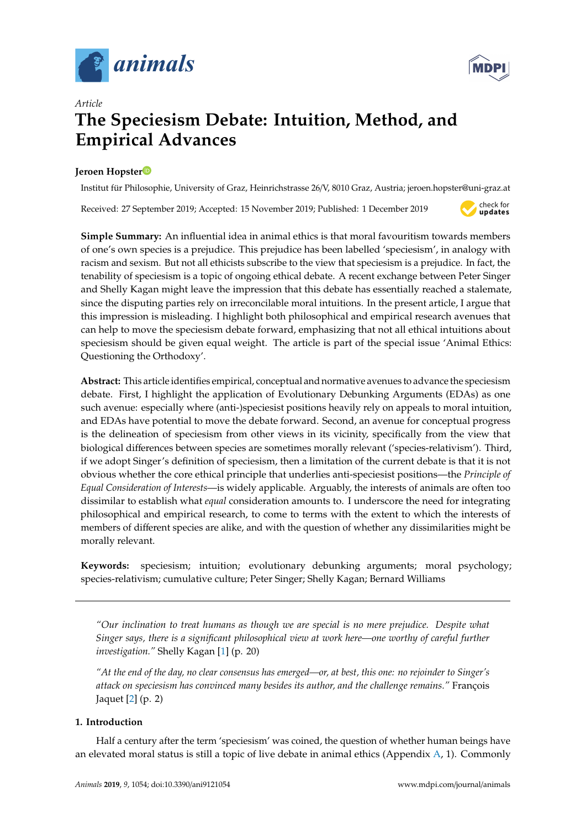



# *Article* **The Speciesism Debate: Intuition, Method, and Empirical Advances**

# **Jeroen Hopste[r](https://orcid.org/0000-0001-9239-3048)**

Institut für Philosophie, University of Graz, Heinrichstrasse 26/V, 8010 Graz, Austria; jeroen.hopster@uni-graz.at

Received: 27 September 2019; Accepted: 15 November 2019; Published: 1 December 2019



**Simple Summary:** An influential idea in animal ethics is that moral favouritism towards members of one's own species is a prejudice. This prejudice has been labelled 'speciesism', in analogy with racism and sexism. But not all ethicists subscribe to the view that speciesism is a prejudice. In fact, the tenability of speciesism is a topic of ongoing ethical debate. A recent exchange between Peter Singer and Shelly Kagan might leave the impression that this debate has essentially reached a stalemate, since the disputing parties rely on irreconcilable moral intuitions. In the present article, I argue that this impression is misleading. I highlight both philosophical and empirical research avenues that can help to move the speciesism debate forward, emphasizing that not all ethical intuitions about speciesism should be given equal weight. The article is part of the special issue 'Animal Ethics: Questioning the Orthodoxy'.

**Abstract:** This article identifies empirical, conceptual and normative avenues to advance the speciesism debate. First, I highlight the application of Evolutionary Debunking Arguments (EDAs) as one such avenue: especially where (anti-)speciesist positions heavily rely on appeals to moral intuition, and EDAs have potential to move the debate forward. Second, an avenue for conceptual progress is the delineation of speciesism from other views in its vicinity, specifically from the view that biological differences between species are sometimes morally relevant ('species-relativism'). Third, if we adopt Singer's definition of speciesism, then a limitation of the current debate is that it is not obvious whether the core ethical principle that underlies anti-speciesist positions—the *Principle of Equal Consideration of Interests*—is widely applicable. Arguably, the interests of animals are often too dissimilar to establish what *equal* consideration amounts to. I underscore the need for integrating philosophical and empirical research, to come to terms with the extent to which the interests of members of different species are alike, and with the question of whether any dissimilarities might be morally relevant.

**Keywords:** speciesism; intuition; evolutionary debunking arguments; moral psychology; species-relativism; cumulative culture; Peter Singer; Shelly Kagan; Bernard Williams

*"Our inclination to treat humans as though we are special is no mere prejudice. Despite what Singer says, there is a significant philosophical view at work here—one worthy of careful further investigation."* Shelly Kagan [\[1\]](#page-12-0) (p. 20)

*"At the end of the day, no clear consensus has emerged—or, at best, this one: no rejoinder to Singer's attack on speciesism has convinced many besides its author, and the challenge remains."* François Jaquet [\[2\]](#page-12-1) (p. 2)

## **1. Introduction**

Half a century after the term 'speciesism' was coined, the question of whether human beings have an elevated moral status is still a topic of live debate in animal ethics (Appendix [A,](#page-11-0) 1). Commonly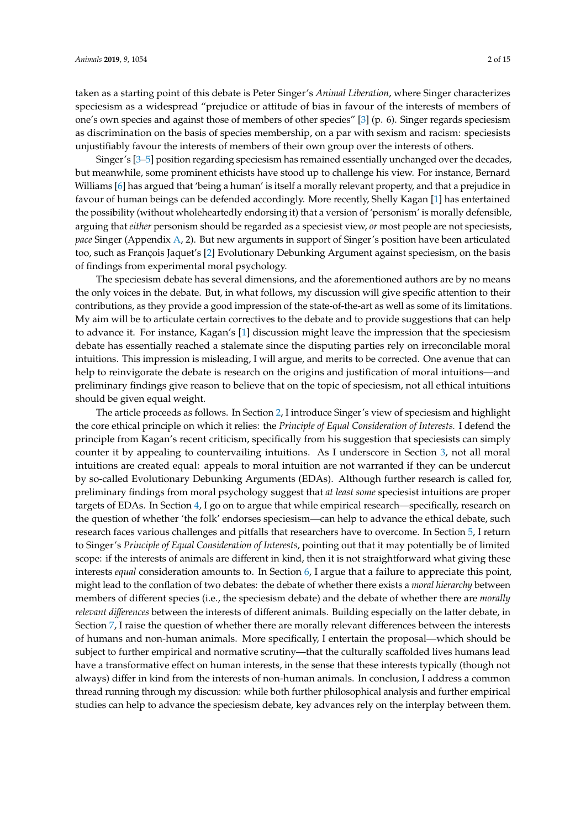taken as a starting point of this debate is Peter Singer's *Animal Liberation*, where Singer characterizes speciesism as a widespread "prejudice or attitude of bias in favour of the interests of members of one's own species and against those of members of other species" [\[3\]](#page-12-2) (p. 6). Singer regards speciesism as discrimination on the basis of species membership, on a par with sexism and racism: speciesists unjustifiably favour the interests of members of their own group over the interests of others.

Singer's [\[3](#page-12-2)[–5\]](#page-13-0) position regarding speciesism has remained essentially unchanged over the decades, but meanwhile, some prominent ethicists have stood up to challenge his view. For instance, Bernard Williams [\[6\]](#page-13-1) has argued that 'being a human' is itself a morally relevant property, and that a prejudice in favour of human beings can be defended accordingly. More recently, Shelly Kagan [\[1\]](#page-12-0) has entertained the possibility (without wholeheartedly endorsing it) that a version of 'personism' is morally defensible, arguing that *either* personism should be regarded as a speciesist view, *or* most people are not speciesists, *pace* Singer (Appendix [A,](#page-11-0) 2). But new arguments in support of Singer's position have been articulated too, such as François Jaquet's [\[2\]](#page-12-1) Evolutionary Debunking Argument against speciesism, on the basis of findings from experimental moral psychology.

The speciesism debate has several dimensions, and the aforementioned authors are by no means the only voices in the debate. But, in what follows, my discussion will give specific attention to their contributions, as they provide a good impression of the state-of-the-art as well as some of its limitations. My aim will be to articulate certain correctives to the debate and to provide suggestions that can help to advance it. For instance, Kagan's [\[1\]](#page-12-0) discussion might leave the impression that the speciesism debate has essentially reached a stalemate since the disputing parties rely on irreconcilable moral intuitions. This impression is misleading, I will argue, and merits to be corrected. One avenue that can help to reinvigorate the debate is research on the origins and justification of moral intuitions—and preliminary findings give reason to believe that on the topic of speciesism, not all ethical intuitions should be given equal weight.

The article proceeds as follows. In Section [2,](#page-2-0) I introduce Singer's view of speciesism and highlight the core ethical principle on which it relies: the *Principle of Equal Consideration of Interests.* I defend the principle from Kagan's recent criticism, specifically from his suggestion that speciesists can simply counter it by appealing to countervailing intuitions. As I underscore in Section [3,](#page-3-0) not all moral intuitions are created equal: appeals to moral intuition are not warranted if they can be undercut by so-called Evolutionary Debunking Arguments (EDAs). Although further research is called for, preliminary findings from moral psychology suggest that *at least some* speciesist intuitions are proper targets of EDAs. In Section [4,](#page-5-0) I go on to argue that while empirical research—specifically, research on the question of whether 'the folk' endorses speciesism—can help to advance the ethical debate, such research faces various challenges and pitfalls that researchers have to overcome. In Section [5,](#page-6-0) I return to Singer's *Principle of Equal Consideration of Interests*, pointing out that it may potentially be of limited scope: if the interests of animals are different in kind, then it is not straightforward what giving these interests *equal* consideration amounts to. In Section [6,](#page-7-0) I argue that a failure to appreciate this point, might lead to the conflation of two debates: the debate of whether there exists a *moral hierarchy* between members of different species (i.e., the speciesism debate) and the debate of whether there are *morally relevant di*ff*erences* between the interests of different animals. Building especially on the latter debate, in Section [7,](#page-9-0) I raise the question of whether there are morally relevant differences between the interests of humans and non-human animals. More specifically, I entertain the proposal—which should be subject to further empirical and normative scrutiny—that the culturally scaffolded lives humans lead have a transformative effect on human interests, in the sense that these interests typically (though not always) differ in kind from the interests of non-human animals. In conclusion, I address a common thread running through my discussion: while both further philosophical analysis and further empirical studies can help to advance the speciesism debate, key advances rely on the interplay between them.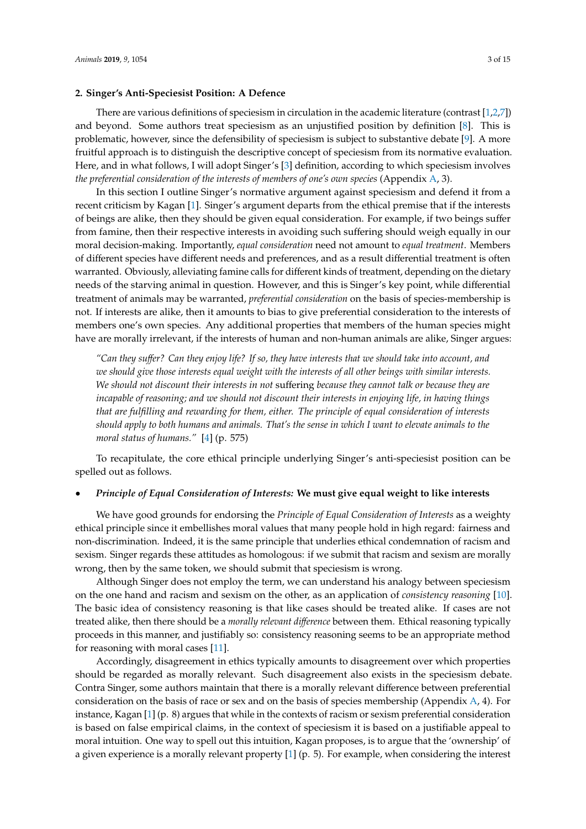#### <span id="page-2-0"></span>**2. Singer's Anti-Speciesist Position: A Defence**

There are various definitions of speciesism in circulation in the academic literature (contrast [\[1](#page-12-0)[,2](#page-12-1)[,7\]](#page-13-2)) and beyond. Some authors treat speciesism as an unjustified position by definition [\[8\]](#page-13-3). This is problematic, however, since the defensibility of speciesism is subject to substantive debate [\[9\]](#page-13-4). A more fruitful approach is to distinguish the descriptive concept of speciesism from its normative evaluation. Here, and in what follows, I will adopt Singer's [\[3\]](#page-12-2) definition, according to which speciesism involves *the preferential consideration of the interests of members of one's own species* (Appendix [A,](#page-11-0) 3).

In this section I outline Singer's normative argument against speciesism and defend it from a recent criticism by Kagan [\[1\]](#page-12-0). Singer's argument departs from the ethical premise that if the interests of beings are alike, then they should be given equal consideration. For example, if two beings suffer from famine, then their respective interests in avoiding such suffering should weigh equally in our moral decision-making. Importantly, *equal consideration* need not amount to *equal treatment*. Members of different species have different needs and preferences, and as a result differential treatment is often warranted. Obviously, alleviating famine calls for different kinds of treatment, depending on the dietary needs of the starving animal in question. However, and this is Singer's key point, while differential treatment of animals may be warranted, *preferential consideration* on the basis of species-membership is not. If interests are alike, then it amounts to bias to give preferential consideration to the interests of members one's own species. Any additional properties that members of the human species might have are morally irrelevant, if the interests of human and non-human animals are alike, Singer argues:

*"Can they su*ff*er? Can they enjoy life? If so, they have interests that we should take into account, and we should give those interests equal weight with the interests of all other beings with similar interests. We should not discount their interests in not* suffering *because they cannot talk or because they are incapable of reasoning; and we should not discount their interests in enjoying life, in having things that are fulfilling and rewarding for them, either. The principle of equal consideration of interests should apply to both humans and animals. That's the sense in which I want to elevate animals to the moral status of humans."* [\[4\]](#page-13-5) (p. 575)

To recapitulate, the core ethical principle underlying Singer's anti-speciesist position can be spelled out as follows.

## • *Principle of Equal Consideration of Interests:* **We must give equal weight to like interests**

We have good grounds for endorsing the *Principle of Equal Consideration of Interests* as a weighty ethical principle since it embellishes moral values that many people hold in high regard: fairness and non-discrimination. Indeed, it is the same principle that underlies ethical condemnation of racism and sexism. Singer regards these attitudes as homologous: if we submit that racism and sexism are morally wrong, then by the same token, we should submit that speciesism is wrong.

Although Singer does not employ the term, we can understand his analogy between speciesism on the one hand and racism and sexism on the other, as an application of *consistency reasoning* [\[10\]](#page-13-6). The basic idea of consistency reasoning is that like cases should be treated alike. If cases are not treated alike, then there should be a *morally relevant di*ff*erence* between them. Ethical reasoning typically proceeds in this manner, and justifiably so: consistency reasoning seems to be an appropriate method for reasoning with moral cases [\[11\]](#page-13-7).

Accordingly, disagreement in ethics typically amounts to disagreement over which properties should be regarded as morally relevant. Such disagreement also exists in the speciesism debate. Contra Singer, some authors maintain that there is a morally relevant difference between preferential consideration on the basis of race or sex and on the basis of species membership (Appendix [A,](#page-11-0) 4). For instance, Kagan [\[1\]](#page-12-0) (p. 8) argues that while in the contexts of racism or sexism preferential consideration is based on false empirical claims, in the context of speciesism it is based on a justifiable appeal to moral intuition. One way to spell out this intuition, Kagan proposes, is to argue that the 'ownership' of a given experience is a morally relevant property [\[1\]](#page-12-0) (p. 5). For example, when considering the interest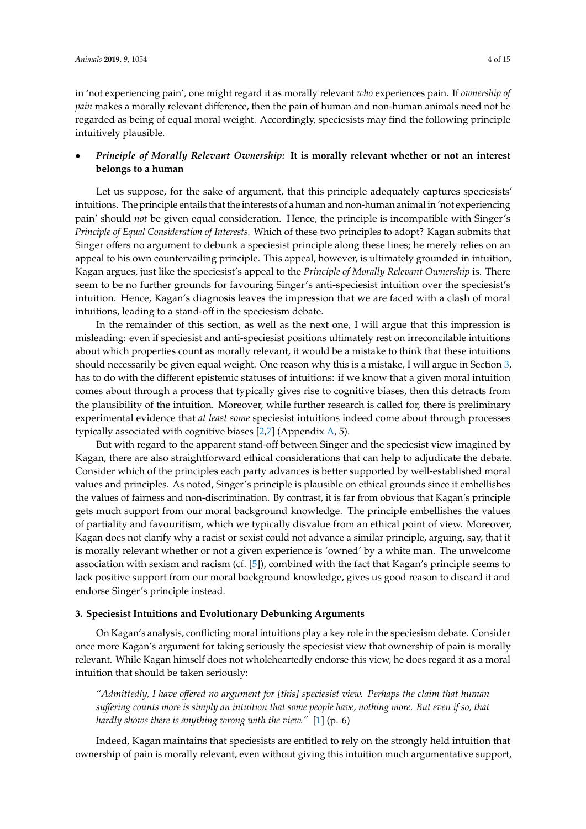in 'not experiencing pain', one might regard it as morally relevant *who* experiences pain. If *ownership of pain* makes a morally relevant difference, then the pain of human and non-human animals need not be regarded as being of equal moral weight. Accordingly, speciesists may find the following principle intuitively plausible.

## • *Principle of Morally Relevant Ownership:* **It is morally relevant whether or not an interest belongs to a human**

Let us suppose, for the sake of argument, that this principle adequately captures speciesists' intuitions. The principle entails that the interests of a human and non-human animal in 'not experiencing pain' should *not* be given equal consideration. Hence, the principle is incompatible with Singer's *Principle of Equal Consideration of Interests.* Which of these two principles to adopt? Kagan submits that Singer offers no argument to debunk a speciesist principle along these lines; he merely relies on an appeal to his own countervailing principle. This appeal, however, is ultimately grounded in intuition, Kagan argues, just like the speciesist's appeal to the *Principle of Morally Relevant Ownership* is. There seem to be no further grounds for favouring Singer's anti-speciesist intuition over the speciesist's intuition. Hence, Kagan's diagnosis leaves the impression that we are faced with a clash of moral intuitions, leading to a stand-off in the speciesism debate.

In the remainder of this section, as well as the next one, I will argue that this impression is misleading: even if speciesist and anti-speciesist positions ultimately rest on irreconcilable intuitions about which properties count as morally relevant, it would be a mistake to think that these intuitions should necessarily be given equal weight. One reason why this is a mistake, I will argue in Section [3,](#page-3-0) has to do with the different epistemic statuses of intuitions: if we know that a given moral intuition comes about through a process that typically gives rise to cognitive biases, then this detracts from the plausibility of the intuition. Moreover, while further research is called for, there is preliminary experimental evidence that *at least some* speciesist intuitions indeed come about through processes typically associated with cognitive biases [\[2](#page-12-1)[,7\]](#page-13-2) (Appendix [A,](#page-11-0) 5).

But with regard to the apparent stand-off between Singer and the speciesist view imagined by Kagan, there are also straightforward ethical considerations that can help to adjudicate the debate. Consider which of the principles each party advances is better supported by well-established moral values and principles. As noted, Singer's principle is plausible on ethical grounds since it embellishes the values of fairness and non-discrimination. By contrast, it is far from obvious that Kagan's principle gets much support from our moral background knowledge. The principle embellishes the values of partiality and favouritism, which we typically disvalue from an ethical point of view. Moreover, Kagan does not clarify why a racist or sexist could not advance a similar principle, arguing, say, that it is morally relevant whether or not a given experience is 'owned' by a white man. The unwelcome association with sexism and racism (cf. [\[5\]](#page-13-0)), combined with the fact that Kagan's principle seems to lack positive support from our moral background knowledge, gives us good reason to discard it and endorse Singer's principle instead.

## <span id="page-3-0"></span>**3. Speciesist Intuitions and Evolutionary Debunking Arguments**

On Kagan's analysis, conflicting moral intuitions play a key role in the speciesism debate. Consider once more Kagan's argument for taking seriously the speciesist view that ownership of pain is morally relevant. While Kagan himself does not wholeheartedly endorse this view, he does regard it as a moral intuition that should be taken seriously:

*"Admittedly, I have o*ff*ered no argument for [this] speciesist view. Perhaps the claim that human su*ff*ering counts more is simply an intuition that some people have, nothing more. But even if so, that hardly shows there is anything wrong with the view."* [\[1\]](#page-12-0) (p. 6)

Indeed, Kagan maintains that speciesists are entitled to rely on the strongly held intuition that ownership of pain is morally relevant, even without giving this intuition much argumentative support,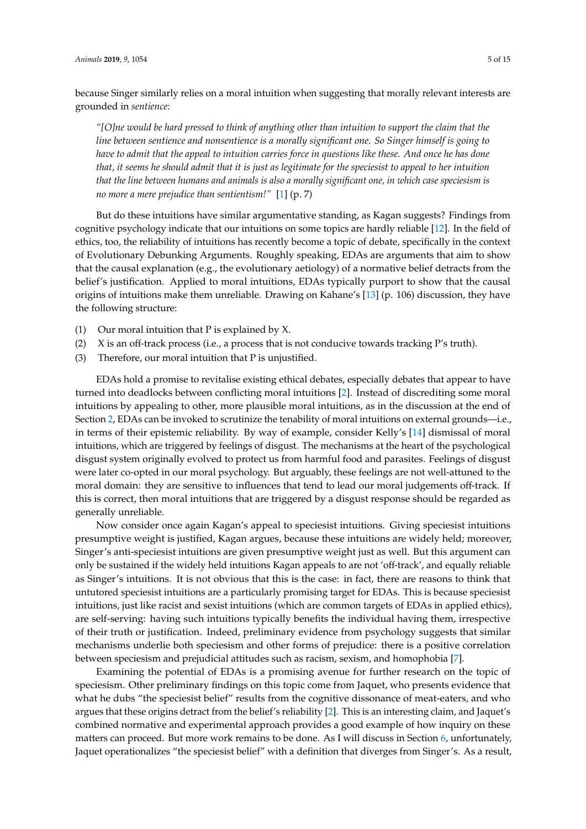because Singer similarly relies on a moral intuition when suggesting that morally relevant interests are grounded in *sentience*:

*"[O]ne would be hard pressed to think of anything other than intuition to support the claim that the line between sentience and nonsentience is a morally significant one. So Singer himself is going to have to admit that the appeal to intuition carries force in questions like these. And once he has done that, it seems he should admit that it is just as legitimate for the speciesist to appeal to her intuition that the line between humans and animals is also a morally significant one, in which case speciesism is no more a mere prejudice than sentientism!"* [\[1\]](#page-12-0) (p. 7)

But do these intuitions have similar argumentative standing, as Kagan suggests? Findings from cognitive psychology indicate that our intuitions on some topics are hardly reliable [\[12\]](#page-13-8). In the field of ethics, too, the reliability of intuitions has recently become a topic of debate, specifically in the context of Evolutionary Debunking Arguments. Roughly speaking, EDAs are arguments that aim to show that the causal explanation (e.g., the evolutionary aetiology) of a normative belief detracts from the belief's justification. Applied to moral intuitions, EDAs typically purport to show that the causal origins of intuitions make them unreliable. Drawing on Kahane's [\[13\]](#page-13-9) (p. 106) discussion, they have the following structure:

- (1) Our moral intuition that P is explained by X.
- (2) X is an off-track process (i.e., a process that is not conducive towards tracking P's truth).
- (3) Therefore, our moral intuition that P is unjustified.

EDAs hold a promise to revitalise existing ethical debates, especially debates that appear to have turned into deadlocks between conflicting moral intuitions [\[2\]](#page-12-1). Instead of discrediting some moral intuitions by appealing to other, more plausible moral intuitions, as in the discussion at the end of Section [2,](#page-2-0) EDAs can be invoked to scrutinize the tenability of moral intuitions on external grounds—i.e., in terms of their epistemic reliability. By way of example, consider Kelly's [\[14\]](#page-13-10) dismissal of moral intuitions, which are triggered by feelings of disgust. The mechanisms at the heart of the psychological disgust system originally evolved to protect us from harmful food and parasites. Feelings of disgust were later co-opted in our moral psychology. But arguably, these feelings are not well-attuned to the moral domain: they are sensitive to influences that tend to lead our moral judgements off-track. If this is correct, then moral intuitions that are triggered by a disgust response should be regarded as generally unreliable.

Now consider once again Kagan's appeal to speciesist intuitions. Giving speciesist intuitions presumptive weight is justified, Kagan argues, because these intuitions are widely held; moreover, Singer's anti-speciesist intuitions are given presumptive weight just as well. But this argument can only be sustained if the widely held intuitions Kagan appeals to are not 'off-track', and equally reliable as Singer's intuitions. It is not obvious that this is the case: in fact, there are reasons to think that untutored speciesist intuitions are a particularly promising target for EDAs. This is because speciesist intuitions, just like racist and sexist intuitions (which are common targets of EDAs in applied ethics), are self-serving: having such intuitions typically benefits the individual having them, irrespective of their truth or justification. Indeed, preliminary evidence from psychology suggests that similar mechanisms underlie both speciesism and other forms of prejudice: there is a positive correlation between speciesism and prejudicial attitudes such as racism, sexism, and homophobia [\[7\]](#page-13-2).

Examining the potential of EDAs is a promising avenue for further research on the topic of speciesism. Other preliminary findings on this topic come from Jaquet, who presents evidence that what he dubs "the speciesist belief" results from the cognitive dissonance of meat-eaters, and who argues that these origins detract from the belief's reliability [\[2\]](#page-12-1). This is an interesting claim, and Jaquet's combined normative and experimental approach provides a good example of how inquiry on these matters can proceed. But more work remains to be done. As I will discuss in Section [6,](#page-7-0) unfortunately, Jaquet operationalizes "the speciesist belief" with a definition that diverges from Singer's. As a result,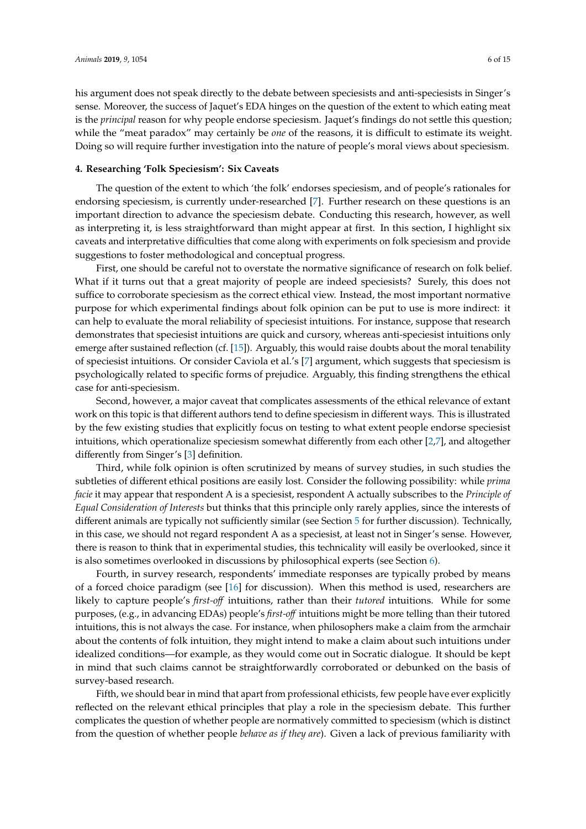his argument does not speak directly to the debate between speciesists and anti-speciesists in Singer's sense. Moreover, the success of Jaquet's EDA hinges on the question of the extent to which eating meat is the *principal* reason for why people endorse speciesism. Jaquet's findings do not settle this question; while the "meat paradox" may certainly be *one* of the reasons, it is difficult to estimate its weight. Doing so will require further investigation into the nature of people's moral views about speciesism.

## <span id="page-5-0"></span>**4. Researching 'Folk Speciesism': Six Caveats**

The question of the extent to which 'the folk' endorses speciesism, and of people's rationales for endorsing speciesism, is currently under-researched [\[7\]](#page-13-2). Further research on these questions is an important direction to advance the speciesism debate. Conducting this research, however, as well as interpreting it, is less straightforward than might appear at first. In this section, I highlight six caveats and interpretative difficulties that come along with experiments on folk speciesism and provide suggestions to foster methodological and conceptual progress.

First, one should be careful not to overstate the normative significance of research on folk belief. What if it turns out that a great majority of people are indeed speciesists? Surely, this does not suffice to corroborate speciesism as the correct ethical view. Instead, the most important normative purpose for which experimental findings about folk opinion can be put to use is more indirect: it can help to evaluate the moral reliability of speciesist intuitions. For instance, suppose that research demonstrates that speciesist intuitions are quick and cursory, whereas anti-speciesist intuitions only emerge after sustained reflection (cf. [\[15\]](#page-13-11)). Arguably, this would raise doubts about the moral tenability of speciesist intuitions. Or consider Caviola et al.'s [\[7\]](#page-13-2) argument, which suggests that speciesism is psychologically related to specific forms of prejudice. Arguably, this finding strengthens the ethical case for anti-speciesism.

Second, however, a major caveat that complicates assessments of the ethical relevance of extant work on this topic is that different authors tend to define speciesism in different ways. This is illustrated by the few existing studies that explicitly focus on testing to what extent people endorse speciesist intuitions, which operationalize speciesism somewhat differently from each other [\[2,](#page-12-1)[7\]](#page-13-2), and altogether differently from Singer's [\[3\]](#page-12-2) definition.

Third, while folk opinion is often scrutinized by means of survey studies, in such studies the subtleties of different ethical positions are easily lost. Consider the following possibility: while *prima facie* it may appear that respondent A is a speciesist, respondent A actually subscribes to the *Principle of Equal Consideration of Interests* but thinks that this principle only rarely applies, since the interests of different animals are typically not sufficiently similar (see Section [5](#page-6-0) for further discussion). Technically, in this case, we should not regard respondent A as a speciesist, at least not in Singer's sense. However, there is reason to think that in experimental studies, this technicality will easily be overlooked, since it is also sometimes overlooked in discussions by philosophical experts (see Section [6\)](#page-7-0).

Fourth, in survey research, respondents' immediate responses are typically probed by means of a forced choice paradigm (see [\[16\]](#page-13-12) for discussion). When this method is used, researchers are likely to capture people's *first-o*ff intuitions, rather than their *tutored* intuitions. While for some purposes, (e.g., in advancing EDAs) people's *first-o*ff intuitions might be more telling than their tutored intuitions, this is not always the case. For instance, when philosophers make a claim from the armchair about the contents of folk intuition, they might intend to make a claim about such intuitions under idealized conditions—for example, as they would come out in Socratic dialogue. It should be kept in mind that such claims cannot be straightforwardly corroborated or debunked on the basis of survey-based research.

Fifth, we should bear in mind that apart from professional ethicists, few people have ever explicitly reflected on the relevant ethical principles that play a role in the speciesism debate. This further complicates the question of whether people are normatively committed to speciesism (which is distinct from the question of whether people *behave as if they are*). Given a lack of previous familiarity with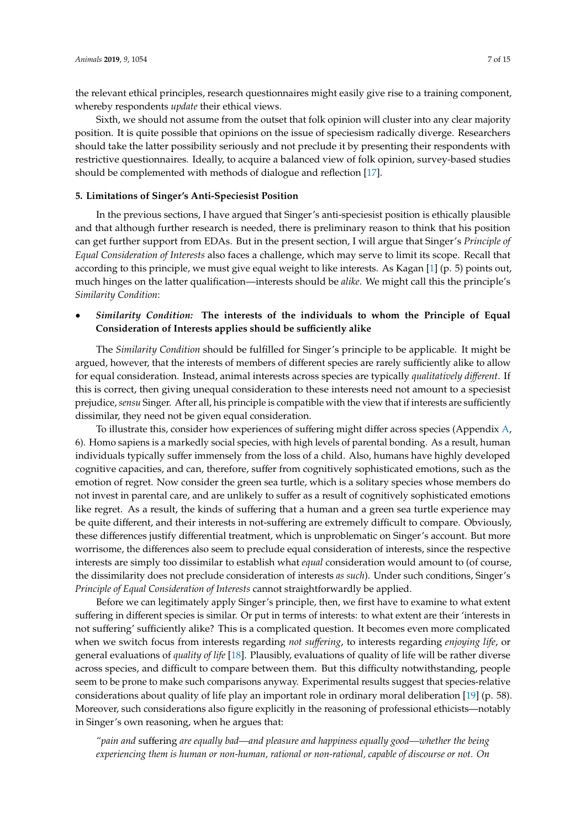the relevant ethical principles, research questionnaires might easily give rise to a training component, whereby respondents *update* their ethical views.

Sixth, we should not assume from the outset that folk opinion will cluster into any clear majority position. It is quite possible that opinions on the issue of speciesism radically diverge. Researchers should take the latter possibility seriously and not preclude it by presenting their respondents with restrictive questionnaires. Ideally, to acquire a balanced view of folk opinion, survey-based studies should be complemented with methods of dialogue and reflection [\[17\]](#page-13-13).

### <span id="page-6-0"></span>**5. Limitations of Singer's Anti-Speciesist Position**

In the previous sections, I have argued that Singer's anti-speciesist position is ethically plausible and that although further research is needed, there is preliminary reason to think that his position can get further support from EDAs. But in the present section, I will argue that Singer's *Principle of Equal Consideration of Interests* also faces a challenge, which may serve to limit its scope. Recall that according to this principle, we must give equal weight to like interests. As Kagan [\[1\]](#page-12-0) (p. 5) points out, much hinges on the latter qualification—interests should be *alike*. We might call this the principle's *Similarity Condition*:

# • *Similarity Condition:* **The interests of the individuals to whom the Principle of Equal Consideration of Interests applies should be su**ffi**ciently alike**

The *Similarity Condition* should be fulfilled for Singer's principle to be applicable. It might be argued, however, that the interests of members of different species are rarely sufficiently alike to allow for equal consideration. Instead, animal interests across species are typically *qualitatively di*ff*erent*. If this is correct, then giving unequal consideration to these interests need not amount to a speciesist prejudice, *sensu* Singer. After all, his principle is compatible with the view that if interests are sufficiently dissimilar, they need not be given equal consideration.

To illustrate this, consider how experiences of suffering might differ across species (Appendix [A,](#page-11-0) 6). Homo sapiens is a markedly social species, with high levels of parental bonding. As a result, human individuals typically suffer immensely from the loss of a child. Also, humans have highly developed cognitive capacities, and can, therefore, suffer from cognitively sophisticated emotions, such as the emotion of regret. Now consider the green sea turtle, which is a solitary species whose members do not invest in parental care, and are unlikely to suffer as a result of cognitively sophisticated emotions like regret. As a result, the kinds of suffering that a human and a green sea turtle experience may be quite different, and their interests in not-suffering are extremely difficult to compare. Obviously, these differences justify differential treatment, which is unproblematic on Singer's account. But more worrisome, the differences also seem to preclude equal consideration of interests, since the respective interests are simply too dissimilar to establish what *equal* consideration would amount to (of course, the dissimilarity does not preclude consideration of interests *as such*). Under such conditions, Singer's *Principle of Equal Consideration of Interests* cannot straightforwardly be applied.

Before we can legitimately apply Singer's principle, then, we first have to examine to what extent suffering in different species is similar. Or put in terms of interests: to what extent are their 'interests in not suffering' sufficiently alike? This is a complicated question. It becomes even more complicated when we switch focus from interests regarding *not su*ff*ering*, to interests regarding *enjoying life*, or general evaluations of *quality of life* [\[18\]](#page-13-14). Plausibly, evaluations of quality of life will be rather diverse across species, and difficult to compare between them. But this difficulty notwithstanding, people seem to be prone to make such comparisons anyway. Experimental results suggest that species-relative considerations about quality of life play an important role in ordinary moral deliberation [\[19\]](#page-13-15) (p. 58). Moreover, such considerations also figure explicitly in the reasoning of professional ethicists—notably in Singer's own reasoning, when he argues that:

*"pain and* suffering *are equally bad—and pleasure and happiness equally good—whether the being experiencing them is human or non-human, rational or non-rational, capable of discourse or not. On*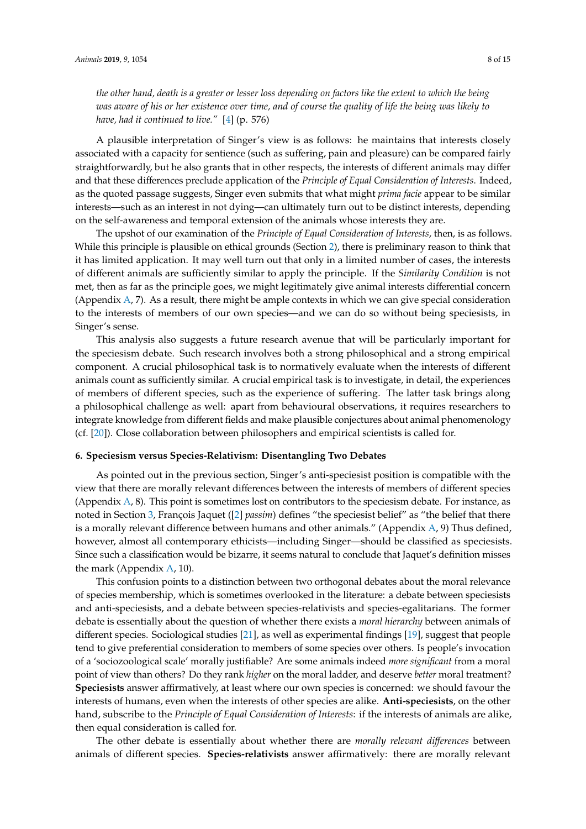*the other hand, death is a greater or lesser loss depending on factors like the extent to which the being was aware of his or her existence over time, and of course the quality of life the being was likely to have, had it continued to live."* [\[4\]](#page-13-5) (p. 576)

A plausible interpretation of Singer's view is as follows: he maintains that interests closely associated with a capacity for sentience (such as suffering, pain and pleasure) can be compared fairly straightforwardly, but he also grants that in other respects, the interests of different animals may differ and that these differences preclude application of the *Principle of Equal Consideration of Interests*. Indeed, as the quoted passage suggests, Singer even submits that what might *prima facie* appear to be similar interests—such as an interest in not dying—can ultimately turn out to be distinct interests, depending on the self-awareness and temporal extension of the animals whose interests they are.

The upshot of our examination of the *Principle of Equal Consideration of Interests*, then, is as follows. While this principle is plausible on ethical grounds (Section [2\)](#page-2-0), there is preliminary reason to think that it has limited application. It may well turn out that only in a limited number of cases, the interests of different animals are sufficiently similar to apply the principle. If the *Similarity Condition* is not met, then as far as the principle goes, we might legitimately give animal interests differential concern (Appendix [A,](#page-11-0) 7). As a result, there might be ample contexts in which we can give special consideration to the interests of members of our own species—and we can do so without being speciesists, in Singer's sense.

This analysis also suggests a future research avenue that will be particularly important for the speciesism debate. Such research involves both a strong philosophical and a strong empirical component. A crucial philosophical task is to normatively evaluate when the interests of different animals count as sufficiently similar. A crucial empirical task is to investigate, in detail, the experiences of members of different species, such as the experience of suffering. The latter task brings along a philosophical challenge as well: apart from behavioural observations, it requires researchers to integrate knowledge from different fields and make plausible conjectures about animal phenomenology (cf. [\[20\]](#page-13-16)). Close collaboration between philosophers and empirical scientists is called for.

## <span id="page-7-0"></span>**6. Speciesism versus Species-Relativism: Disentangling Two Debates**

As pointed out in the previous section, Singer's anti-speciesist position is compatible with the view that there are morally relevant differences between the interests of members of different species (Appendix [A,](#page-11-0) 8). This point is sometimes lost on contributors to the speciesism debate. For instance, as noted in Section [3,](#page-3-0) François Jaquet ([\[2\]](#page-12-1) *passim*) defines "the speciesist belief" as "the belief that there is a morally relevant difference between humans and other animals." (Appendix [A,](#page-11-0) 9) Thus defined, however, almost all contemporary ethicists—including Singer—should be classified as speciesists. Since such a classification would be bizarre, it seems natural to conclude that Jaquet's definition misses the mark (Appendix [A,](#page-11-0) 10).

This confusion points to a distinction between two orthogonal debates about the moral relevance of species membership, which is sometimes overlooked in the literature: a debate between speciesists and anti-speciesists, and a debate between species-relativists and species-egalitarians. The former debate is essentially about the question of whether there exists a *moral hierarchy* between animals of different species. Sociological studies [\[21\]](#page-13-17), as well as experimental findings [\[19\]](#page-13-15), suggest that people tend to give preferential consideration to members of some species over others. Is people's invocation of a 'sociozoological scale' morally justifiable? Are some animals indeed *more significant* from a moral point of view than others? Do they rank *higher* on the moral ladder, and deserve *better* moral treatment? **Speciesists** answer affirmatively, at least where our own species is concerned: we should favour the interests of humans, even when the interests of other species are alike. **Anti-speciesists**, on the other hand, subscribe to the *Principle of Equal Consideration of Interests*: if the interests of animals are alike, then equal consideration is called for.

The other debate is essentially about whether there are *morally relevant di*ff*erences* between animals of different species. **Species-relativists** answer affirmatively: there are morally relevant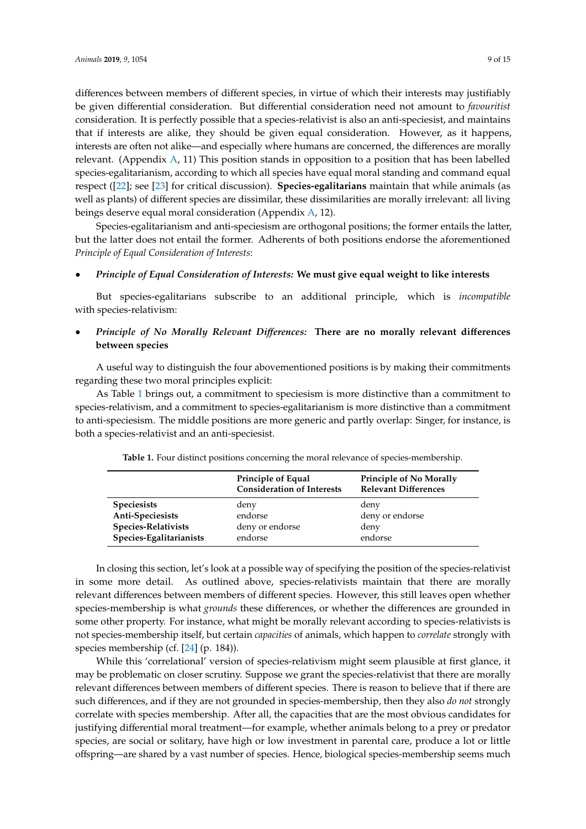differences between members of different species, in virtue of which their interests may justifiably be given differential consideration. But differential consideration need not amount to *favouritist* consideration. It is perfectly possible that a species-relativist is also an anti-speciesist, and maintains that if interests are alike, they should be given equal consideration. However, as it happens, interests are often not alike—and especially where humans are concerned, the differences are morally relevant. (Appendix [A,](#page-11-0) 11) This position stands in opposition to a position that has been labelled species-egalitarianism, according to which all species have equal moral standing and command equal respect ([\[22\]](#page-13-18); see [\[23\]](#page-13-19) for critical discussion). **Species-egalitarians** maintain that while animals (as well as plants) of different species are dissimilar, these dissimilarities are morally irrelevant: all living beings deserve equal moral consideration (Appendix [A,](#page-11-0) 12).

Species-egalitarianism and anti-speciesism are orthogonal positions; the former entails the latter, but the latter does not entail the former. Adherents of both positions endorse the aforementioned *Principle of Equal Consideration of Interests*:

## • *Principle of Equal Consideration of Interests:* **We must give equal weight to like interests**

But species-egalitarians subscribe to an additional principle, which is *incompatible* with species-relativism:

# • *Principle of No Morally Relevant Di*ff*erences:* **There are no morally relevant di**ff**erences between species**

A useful way to distinguish the four abovementioned positions is by making their commitments regarding these two moral principles explicit:

As Table [1](#page-8-0) brings out, a commitment to speciesism is more distinctive than a commitment to species-relativism, and a commitment to species-egalitarianism is more distinctive than a commitment to anti-speciesism. The middle positions are more generic and partly overlap: Singer, for instance, is both a species-relativist and an anti-speciesist.

<span id="page-8-0"></span>

|                         | <b>Principle of Equal</b><br><b>Consideration of Interests</b> | <b>Principle of No Morally</b><br><b>Relevant Differences</b> |
|-------------------------|----------------------------------------------------------------|---------------------------------------------------------------|
| <b>Speciesists</b>      | deny                                                           | deny                                                          |
| Anti-Speciesists        | endorse                                                        | deny or endorse                                               |
| Species-Relativists     | deny or endorse                                                | deny                                                          |
| Species-Egalitarianists | endorse                                                        | endorse                                                       |

**Table 1.** Four distinct positions concerning the moral relevance of species-membership.

In closing this section, let's look at a possible way of specifying the position of the species-relativist in some more detail. As outlined above, species-relativists maintain that there are morally relevant differences between members of different species. However, this still leaves open whether species-membership is what *grounds* these differences, or whether the differences are grounded in some other property. For instance, what might be morally relevant according to species-relativists is not species-membership itself, but certain *capacities* of animals, which happen to *correlate* strongly with species membership (cf. [\[24\]](#page-13-20) (p. 184)).

While this 'correlational' version of species-relativism might seem plausible at first glance, it may be problematic on closer scrutiny. Suppose we grant the species-relativist that there are morally relevant differences between members of different species. There is reason to believe that if there are such differences, and if they are not grounded in species-membership, then they also *do not* strongly correlate with species membership. After all, the capacities that are the most obvious candidates for justifying differential moral treatment—for example, whether animals belong to a prey or predator species, are social or solitary, have high or low investment in parental care, produce a lot or little offspring—are shared by a vast number of species. Hence, biological species-membership seems much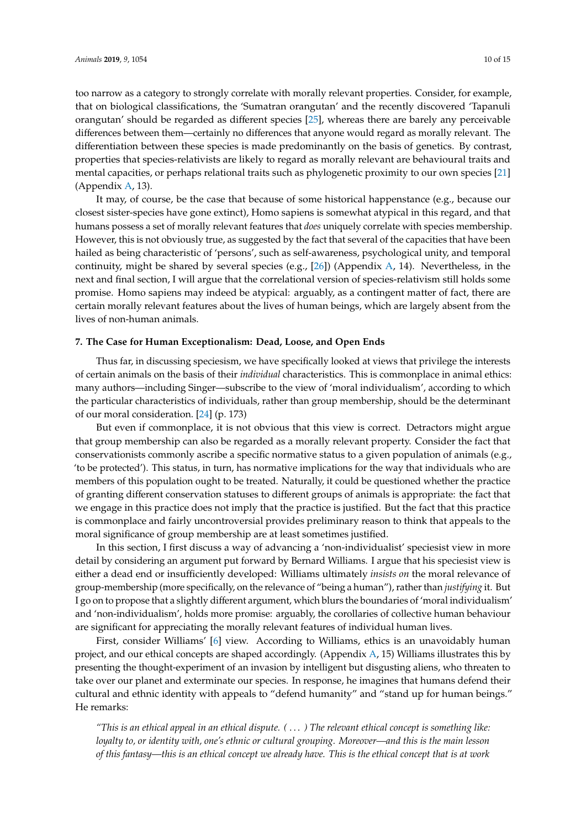too narrow as a category to strongly correlate with morally relevant properties. Consider, for example, that on biological classifications, the 'Sumatran orangutan' and the recently discovered 'Tapanuli orangutan' should be regarded as different species [\[25\]](#page-13-21), whereas there are barely any perceivable differences between them—certainly no differences that anyone would regard as morally relevant. The differentiation between these species is made predominantly on the basis of genetics. By contrast, properties that species-relativists are likely to regard as morally relevant are behavioural traits and

(Appendix [A,](#page-11-0) 13). It may, of course, be the case that because of some historical happenstance (e.g., because our closest sister-species have gone extinct), Homo sapiens is somewhat atypical in this regard, and that humans possess a set of morally relevant features that *does* uniquely correlate with species membership. However, this is not obviously true, as suggested by the fact that several of the capacities that have been hailed as being characteristic of 'persons', such as self-awareness, psychological unity, and temporal continuity, might be shared by several species (e.g.,  $[26]$ ) (Appendix [A,](#page-11-0) 14). Nevertheless, in the next and final section, I will argue that the correlational version of species-relativism still holds some promise. Homo sapiens may indeed be atypical: arguably, as a contingent matter of fact, there are certain morally relevant features about the lives of human beings, which are largely absent from the lives of non-human animals.

mental capacities, or perhaps relational traits such as phylogenetic proximity to our own species [\[21\]](#page-13-17)

#### <span id="page-9-0"></span>**7. The Case for Human Exceptionalism: Dead, Loose, and Open Ends**

Thus far, in discussing speciesism, we have specifically looked at views that privilege the interests of certain animals on the basis of their *individual* characteristics. This is commonplace in animal ethics: many authors—including Singer—subscribe to the view of 'moral individualism', according to which the particular characteristics of individuals, rather than group membership, should be the determinant of our moral consideration. [\[24\]](#page-13-20) (p. 173)

But even if commonplace, it is not obvious that this view is correct. Detractors might argue that group membership can also be regarded as a morally relevant property. Consider the fact that conservationists commonly ascribe a specific normative status to a given population of animals (e.g., 'to be protected'). This status, in turn, has normative implications for the way that individuals who are members of this population ought to be treated. Naturally, it could be questioned whether the practice of granting different conservation statuses to different groups of animals is appropriate: the fact that we engage in this practice does not imply that the practice is justified. But the fact that this practice is commonplace and fairly uncontroversial provides preliminary reason to think that appeals to the moral significance of group membership are at least sometimes justified.

In this section, I first discuss a way of advancing a 'non-individualist' speciesist view in more detail by considering an argument put forward by Bernard Williams. I argue that his speciesist view is either a dead end or insufficiently developed: Williams ultimately *insists on* the moral relevance of group-membership (more specifically, on the relevance of "being a human"), rather than *justifying* it. But I go on to propose that a slightly different argument, which blurs the boundaries of 'moral individualism' and 'non-individualism', holds more promise: arguably, the corollaries of collective human behaviour are significant for appreciating the morally relevant features of individual human lives.

First, consider Williams' [\[6\]](#page-13-1) view. According to Williams, ethics is an unavoidably human project, and our ethical concepts are shaped accordingly. (Appendix [A,](#page-11-0) 15) Williams illustrates this by presenting the thought-experiment of an invasion by intelligent but disgusting aliens, who threaten to take over our planet and exterminate our species. In response, he imagines that humans defend their cultural and ethnic identity with appeals to "defend humanity" and "stand up for human beings." He remarks:

*"This is an ethical appeal in an ethical dispute. (* . . . *) The relevant ethical concept is something like: loyalty to, or identity with, one's ethnic or cultural grouping. Moreover—and this is the main lesson of this fantasy—this is an ethical concept we already have. This is the ethical concept that is at work*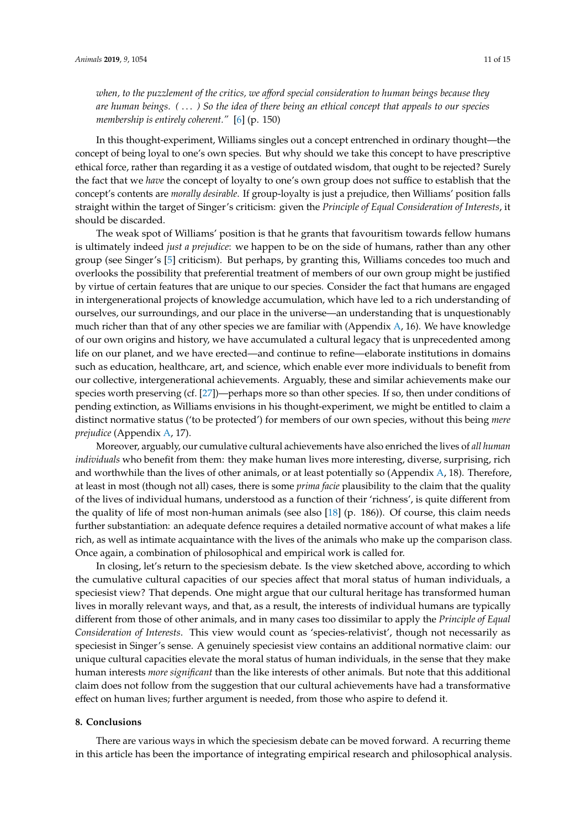*when, to the puzzlement of the critics, we a*ff*ord special consideration to human beings because they are human beings. (* . . . *) So the idea of there being an ethical concept that appeals to our species membership is entirely coherent."* [\[6\]](#page-13-1) (p. 150)

In this thought-experiment, Williams singles out a concept entrenched in ordinary thought—the concept of being loyal to one's own species. But why should we take this concept to have prescriptive ethical force, rather than regarding it as a vestige of outdated wisdom, that ought to be rejected? Surely the fact that we *have* the concept of loyalty to one's own group does not suffice to establish that the concept's contents are *morally desirable*. If group-loyalty is just a prejudice, then Williams' position falls straight within the target of Singer's criticism: given the *Principle of Equal Consideration of Interests*, it should be discarded.

The weak spot of Williams' position is that he grants that favouritism towards fellow humans is ultimately indeed *just a prejudice*: we happen to be on the side of humans, rather than any other group (see Singer's [\[5\]](#page-13-0) criticism). But perhaps, by granting this, Williams concedes too much and overlooks the possibility that preferential treatment of members of our own group might be justified by virtue of certain features that are unique to our species. Consider the fact that humans are engaged in intergenerational projects of knowledge accumulation, which have led to a rich understanding of ourselves, our surroundings, and our place in the universe—an understanding that is unquestionably much richer than that of any other species we are familiar with (Appendix [A,](#page-11-0) 16). We have knowledge of our own origins and history, we have accumulated a cultural legacy that is unprecedented among life on our planet, and we have erected—and continue to refine—elaborate institutions in domains such as education, healthcare, art, and science, which enable ever more individuals to benefit from our collective, intergenerational achievements. Arguably, these and similar achievements make our species worth preserving (cf. [\[27\]](#page-13-23))—perhaps more so than other species. If so, then under conditions of pending extinction, as Williams envisions in his thought-experiment, we might be entitled to claim a distinct normative status ('to be protected') for members of our own species, without this being *mere prejudice* (Appendix [A,](#page-11-0) 17).

Moreover, arguably, our cumulative cultural achievements have also enriched the lives of *all human individuals* who benefit from them: they make human lives more interesting, diverse, surprising, rich and worthwhile than the lives of other animals, or at least potentially so (Appendix [A,](#page-11-0) 18). Therefore, at least in most (though not all) cases, there is some *prima facie* plausibility to the claim that the quality of the lives of individual humans, understood as a function of their 'richness', is quite different from the quality of life of most non-human animals (see also [\[18\]](#page-13-14) (p. 186)). Of course, this claim needs further substantiation: an adequate defence requires a detailed normative account of what makes a life rich, as well as intimate acquaintance with the lives of the animals who make up the comparison class. Once again, a combination of philosophical and empirical work is called for.

In closing, let's return to the speciesism debate. Is the view sketched above, according to which the cumulative cultural capacities of our species affect that moral status of human individuals, a speciesist view? That depends. One might argue that our cultural heritage has transformed human lives in morally relevant ways, and that, as a result, the interests of individual humans are typically different from those of other animals, and in many cases too dissimilar to apply the *Principle of Equal Consideration of Interests*. This view would count as 'species-relativist', though not necessarily as speciesist in Singer's sense. A genuinely speciesist view contains an additional normative claim: our unique cultural capacities elevate the moral status of human individuals, in the sense that they make human interests *more significant* than the like interests of other animals. But note that this additional claim does not follow from the suggestion that our cultural achievements have had a transformative effect on human lives; further argument is needed, from those who aspire to defend it.

## **8. Conclusions**

There are various ways in which the speciesism debate can be moved forward. A recurring theme in this article has been the importance of integrating empirical research and philosophical analysis.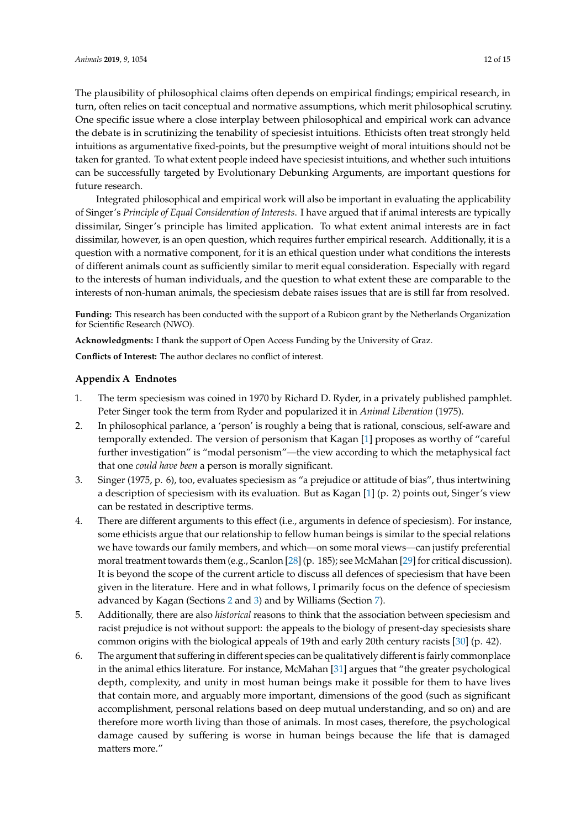The plausibility of philosophical claims often depends on empirical findings; empirical research, in turn, often relies on tacit conceptual and normative assumptions, which merit philosophical scrutiny. One specific issue where a close interplay between philosophical and empirical work can advance the debate is in scrutinizing the tenability of speciesist intuitions. Ethicists often treat strongly held intuitions as argumentative fixed-points, but the presumptive weight of moral intuitions should not be taken for granted. To what extent people indeed have speciesist intuitions, and whether such intuitions can be successfully targeted by Evolutionary Debunking Arguments, are important questions for future research.

Integrated philosophical and empirical work will also be important in evaluating the applicability of Singer's *Principle of Equal Consideration of Interests*. I have argued that if animal interests are typically dissimilar, Singer's principle has limited application. To what extent animal interests are in fact dissimilar, however, is an open question, which requires further empirical research. Additionally, it is a question with a normative component, for it is an ethical question under what conditions the interests of different animals count as sufficiently similar to merit equal consideration. Especially with regard to the interests of human individuals, and the question to what extent these are comparable to the interests of non-human animals, the speciesism debate raises issues that are is still far from resolved.

**Funding:** This research has been conducted with the support of a Rubicon grant by the Netherlands Organization for Scientific Research (NWO).

**Acknowledgments:** I thank the support of Open Access Funding by the University of Graz.

**Conflicts of Interest:** The author declares no conflict of interest.

## <span id="page-11-0"></span>**Appendix A Endnotes**

- 1. The term speciesism was coined in 1970 by Richard D. Ryder, in a privately published pamphlet. Peter Singer took the term from Ryder and popularized it in *Animal Liberation* (1975).
- 2. In philosophical parlance, a 'person' is roughly a being that is rational, conscious, self-aware and temporally extended. The version of personism that Kagan [\[1\]](#page-12-0) proposes as worthy of "careful further investigation" is "modal personism"—the view according to which the metaphysical fact that one *could have been* a person is morally significant.
- 3. Singer (1975, p. 6), too, evaluates speciesism as "a prejudice or attitude of bias", thus intertwining a description of speciesism with its evaluation. But as Kagan [\[1\]](#page-12-0) (p. 2) points out, Singer's view can be restated in descriptive terms.
- 4. There are different arguments to this effect (i.e., arguments in defence of speciesism). For instance, some ethicists argue that our relationship to fellow human beings is similar to the special relations we have towards our family members, and which—on some moral views—can justify preferential moral treatment towards them (e.g., Scanlon [\[28\]](#page-13-24) (p. 185); see McMahan [\[29\]](#page-13-25) for critical discussion). It is beyond the scope of the current article to discuss all defences of speciesism that have been given in the literature. Here and in what follows, I primarily focus on the defence of speciesism advanced by Kagan (Sections [2](#page-2-0) and [3\)](#page-3-0) and by Williams (Section [7\)](#page-9-0).
- 5. Additionally, there are also *historical* reasons to think that the association between speciesism and racist prejudice is not without support: the appeals to the biology of present-day speciesists share common origins with the biological appeals of 19th and early 20th century racists [\[30\]](#page-13-26) (p. 42).
- 6. The argument that suffering in different species can be qualitatively different is fairly commonplace in the animal ethics literature. For instance, McMahan [\[31\]](#page-13-27) argues that "the greater psychological depth, complexity, and unity in most human beings make it possible for them to have lives that contain more, and arguably more important, dimensions of the good (such as significant accomplishment, personal relations based on deep mutual understanding, and so on) and are therefore more worth living than those of animals. In most cases, therefore, the psychological damage caused by suffering is worse in human beings because the life that is damaged matters more."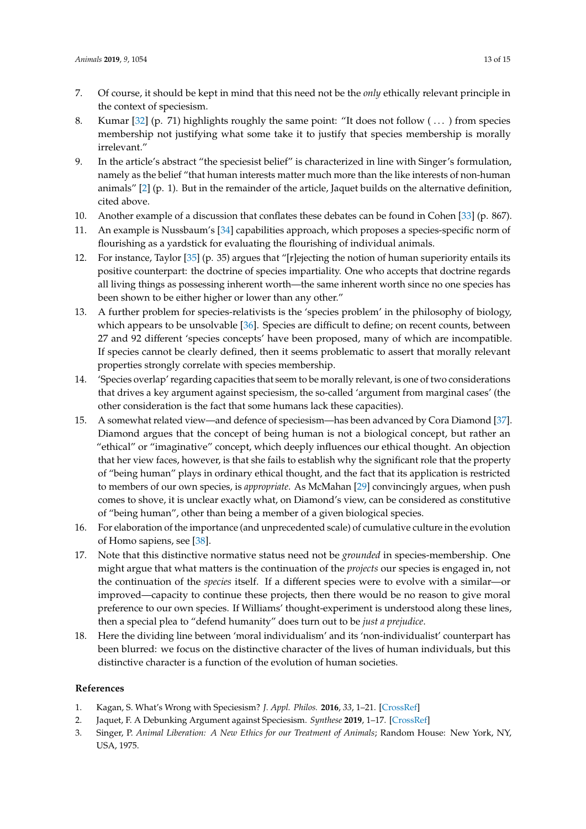- 7. Of course, it should be kept in mind that this need not be the *only* ethically relevant principle in the context of speciesism.
- 8. Kumar [\[32\]](#page-13-28) (p. 71) highlights roughly the same point: "It does not follow ( . . . ) from species membership not justifying what some take it to justify that species membership is morally irrelevant."
- 9. In the article's abstract "the speciesist belief" is characterized in line with Singer's formulation, namely as the belief "that human interests matter much more than the like interests of non-human animals" [\[2\]](#page-12-1) (p. 1). But in the remainder of the article, Jaquet builds on the alternative definition, cited above.
- 10. Another example of a discussion that conflates these debates can be found in Cohen [\[33\]](#page-13-29) (p. 867).
- 11. An example is Nussbaum's [\[34\]](#page-13-30) capabilities approach, which proposes a species-specific norm of flourishing as a yardstick for evaluating the flourishing of individual animals.
- 12. For instance, Taylor [\[35\]](#page-13-31) (p. 35) argues that "[r]ejecting the notion of human superiority entails its positive counterpart: the doctrine of species impartiality. One who accepts that doctrine regards all living things as possessing inherent worth—the same inherent worth since no one species has been shown to be either higher or lower than any other."
- 13. A further problem for species-relativists is the 'species problem' in the philosophy of biology, which appears to be unsolvable [\[36\]](#page-14-0). Species are difficult to define; on recent counts, between 27 and 92 different 'species concepts' have been proposed, many of which are incompatible. If species cannot be clearly defined, then it seems problematic to assert that morally relevant properties strongly correlate with species membership.
- 14. 'Species overlap' regarding capacities that seem to be morally relevant, is one of two considerations that drives a key argument against speciesism, the so-called 'argument from marginal cases' (the other consideration is the fact that some humans lack these capacities).
- 15. A somewhat related view—and defence of speciesism—has been advanced by Cora Diamond [\[37\]](#page-14-1). Diamond argues that the concept of being human is not a biological concept, but rather an "ethical" or "imaginative" concept, which deeply influences our ethical thought. An objection that her view faces, however, is that she fails to establish why the significant role that the property of "being human" plays in ordinary ethical thought, and the fact that its application is restricted to members of our own species, is *appropriate*. As McMahan [\[29\]](#page-13-25) convincingly argues, when push comes to shove, it is unclear exactly what, on Diamond's view, can be considered as constitutive of "being human", other than being a member of a given biological species.
- 16. For elaboration of the importance (and unprecedented scale) of cumulative culture in the evolution of Homo sapiens, see [\[38\]](#page-14-2).
- 17. Note that this distinctive normative status need not be *grounded* in species-membership. One might argue that what matters is the continuation of the *projects* our species is engaged in, not the continuation of the *species* itself. If a different species were to evolve with a similar—or improved—capacity to continue these projects, then there would be no reason to give moral preference to our own species. If Williams' thought-experiment is understood along these lines, then a special plea to "defend humanity" does turn out to be *just a prejudice*.
- 18. Here the dividing line between 'moral individualism' and its 'non-individualist' counterpart has been blurred: we focus on the distinctive character of the lives of human individuals, but this distinctive character is a function of the evolution of human societies.

## **References**

- <span id="page-12-0"></span>1. Kagan, S. What's Wrong with Speciesism? *J. Appl. Philos.* **2016**, *33*, 1–21. [\[CrossRef\]](http://dx.doi.org/10.1111/japp.12164)
- <span id="page-12-1"></span>2. Jaquet, F. A Debunking Argument against Speciesism. *Synthese* **2019**, 1–17. [\[CrossRef\]](http://dx.doi.org/10.1007/s11229-019-02080-5)
- <span id="page-12-2"></span>3. Singer, P. Animal Liberation: A New Ethics for our Treatment of Animals; Random House: New York, NY, USA, 1975.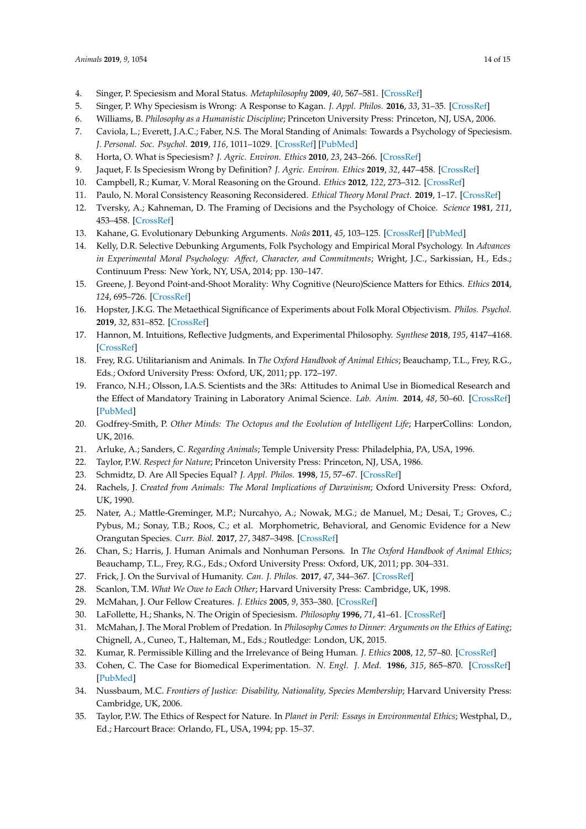- <span id="page-13-5"></span>4. Singer, P. Speciesism and Moral Status. *Metaphilosophy* **2009**, *40*, 567–581. [\[CrossRef\]](http://dx.doi.org/10.1111/j.1467-9973.2009.01608.x)
- <span id="page-13-0"></span>5. Singer, P. Why Speciesism is Wrong: A Response to Kagan. *J. Appl. Philos.* **2016**, *33*, 31–35. [\[CrossRef\]](http://dx.doi.org/10.1111/japp.12165)
- <span id="page-13-1"></span>6. Williams, B. *Philosophy as a Humanistic Discipline*; Princeton University Press: Princeton, NJ, USA, 2006.
- <span id="page-13-2"></span>7. Caviola, L.; Everett, J.A.C.; Faber, N.S. The Moral Standing of Animals: Towards a Psychology of Speciesism. *J. Personal. Soc. Psychol.* **2019**, *116*, 1011–1029. [\[CrossRef\]](http://dx.doi.org/10.1037/pspp0000182) [\[PubMed\]](http://www.ncbi.nlm.nih.gov/pubmed/29517258)
- <span id="page-13-3"></span>8. Horta, O. What is Speciesism? *J. Agric. Environ. Ethics* **2010**, *23*, 243–266. [\[CrossRef\]](http://dx.doi.org/10.1007/s10806-009-9205-2)
- <span id="page-13-4"></span>9. Jaquet, F. Is Speciesism Wrong by Definition? *J. Agric. Environ. Ethics* **2019**, *32*, 447–458. [\[CrossRef\]](http://dx.doi.org/10.1007/s10806-019-09784-1)
- <span id="page-13-6"></span>10. Campbell, R.; Kumar, V. Moral Reasoning on the Ground. *Ethics* **2012**, *122*, 273–312. [\[CrossRef\]](http://dx.doi.org/10.1086/663980)
- <span id="page-13-7"></span>11. Paulo, N. Moral Consistency Reasoning Reconsidered. *Ethical Theory Moral Pract.* **2019**, 1–17. [\[CrossRef\]](http://dx.doi.org/10.1007/s10677-019-10037-3)
- <span id="page-13-8"></span>12. Tversky, A.; Kahneman, D. The Framing of Decisions and the Psychology of Choice. *Science* **1981**, *211*, 453–458. [\[CrossRef\]](http://dx.doi.org/10.1126/science.7455683)
- <span id="page-13-9"></span>13. Kahane, G. Evolutionary Debunking Arguments. *Noûs* **2011**, *45*, 103–125. [\[CrossRef\]](http://dx.doi.org/10.1111/j.1468-0068.2010.00770.x) [\[PubMed\]](http://www.ncbi.nlm.nih.gov/pubmed/21949447)
- <span id="page-13-10"></span>14. Kelly, D.R. Selective Debunking Arguments, Folk Psychology and Empirical Moral Psychology. In *Advances in Experimental Moral Psychology: A*ff*ect, Character, and Commitments*; Wright, J.C., Sarkissian, H., Eds.; Continuum Press: New York, NY, USA, 2014; pp. 130–147.
- <span id="page-13-11"></span>15. Greene, J. Beyond Point-and-Shoot Morality: Why Cognitive (Neuro)Science Matters for Ethics. *Ethics* **2014**, *124*, 695–726. [\[CrossRef\]](http://dx.doi.org/10.1086/675875)
- <span id="page-13-12"></span>16. Hopster, J.K.G. The Metaethical Significance of Experiments about Folk Moral Objectivism. *Philos. Psychol.* **2019**, *32*, 831–852. [\[CrossRef\]](http://dx.doi.org/10.1080/09515089.2019.1627304)
- <span id="page-13-13"></span>17. Hannon, M. Intuitions, Reflective Judgments, and Experimental Philosophy. *Synthese* **2018**, *195*, 4147–4168. [\[CrossRef\]](http://dx.doi.org/10.1007/s11229-017-1412-1)
- <span id="page-13-14"></span>18. Frey, R.G. Utilitarianism and Animals. In *The Oxford Handbook of Animal Ethics*; Beauchamp, T.L., Frey, R.G., Eds.; Oxford University Press: Oxford, UK, 2011; pp. 172–197.
- <span id="page-13-15"></span>19. Franco, N.H.; Olsson, I.A.S. Scientists and the 3Rs: Attitudes to Animal Use in Biomedical Research and the Effect of Mandatory Training in Laboratory Animal Science. *Lab. Anim.* **2014**, *48*, 50–60. [\[CrossRef\]](http://dx.doi.org/10.1177/0023677213498717) [\[PubMed\]](http://www.ncbi.nlm.nih.gov/pubmed/23940123)
- <span id="page-13-16"></span>20. Godfrey-Smith, P. *Other Minds: The Octopus and the Evolution of Intelligent Life*; HarperCollins: London, UK, 2016.
- <span id="page-13-17"></span>21. Arluke, A.; Sanders, C. *Regarding Animals*; Temple University Press: Philadelphia, PA, USA, 1996.
- <span id="page-13-18"></span>22. Taylor, P.W. *Respect for Nature*; Princeton University Press: Princeton, NJ, USA, 1986.
- <span id="page-13-19"></span>23. Schmidtz, D. Are All Species Equal? *J. Appl. Philos.* **1998**, *15*, 57–67. [\[CrossRef\]](http://dx.doi.org/10.1111/1468-5930.00073)
- <span id="page-13-20"></span>24. Rachels, J. *Created from Animals: The Moral Implications of Darwinism*; Oxford University Press: Oxford, UK, 1990.
- <span id="page-13-21"></span>25. Nater, A.; Mattle-Greminger, M.P.; Nurcahyo, A.; Nowak, M.G.; de Manuel, M.; Desai, T.; Groves, C.; Pybus, M.; Sonay, T.B.; Roos, C.; et al. Morphometric, Behavioral, and Genomic Evidence for a New Orangutan Species. *Curr. Biol.* **2017**, *27*, 3487–3498. [\[CrossRef\]](http://dx.doi.org/10.1016/j.cub.2017.11.020)
- <span id="page-13-22"></span>26. Chan, S.; Harris, J. Human Animals and Nonhuman Persons. In *The Oxford Handbook of Animal Ethics*; Beauchamp, T.L., Frey, R.G., Eds.; Oxford University Press: Oxford, UK, 2011; pp. 304–331.
- <span id="page-13-23"></span>27. Frick, J. On the Survival of Humanity. *Can. J. Philos.* **2017**, *47*, 344–367. [\[CrossRef\]](http://dx.doi.org/10.1080/00455091.2017.1301764)
- <span id="page-13-24"></span>28. Scanlon, T.M. *What We Owe to Each Other*; Harvard University Press: Cambridge, UK, 1998.
- <span id="page-13-25"></span>29. McMahan, J. Our Fellow Creatures. *J. Ethics* **2005**, *9*, 353–380. [\[CrossRef\]](http://dx.doi.org/10.1007/s10892-005-3512-2)
- <span id="page-13-26"></span>30. LaFollette, H.; Shanks, N. The Origin of Speciesism. *Philosophy* **1996**, *71*, 41–61. [\[CrossRef\]](http://dx.doi.org/10.1017/S0031819100053250)
- <span id="page-13-27"></span>31. McMahan, J. The Moral Problem of Predation. In *Philosophy Comes to Dinner: Arguments on the Ethics of Eating*; Chignell, A., Cuneo, T., Halteman, M., Eds.; Routledge: London, UK, 2015.
- <span id="page-13-28"></span>32. Kumar, R. Permissible Killing and the Irrelevance of Being Human. *J. Ethics* **2008**, *12*, 57–80. [\[CrossRef\]](http://dx.doi.org/10.1007/s10892-007-9021-8)
- <span id="page-13-29"></span>33. Cohen, C. The Case for Biomedical Experimentation. *N. Engl. J. Med.* **1986**, *315*, 865–870. [\[CrossRef\]](http://dx.doi.org/10.1056/NEJM198610023151405) [\[PubMed\]](http://www.ncbi.nlm.nih.gov/pubmed/3748104)
- <span id="page-13-30"></span>34. Nussbaum, M.C. *Frontiers of Justice: Disability, Nationality, Species Membership*; Harvard University Press: Cambridge, UK, 2006.
- <span id="page-13-31"></span>35. Taylor, P.W. The Ethics of Respect for Nature. In *Planet in Peril: Essays in Environmental Ethics*; Westphal, D., Ed.; Harcourt Brace: Orlando, FL, USA, 1994; pp. 15–37.